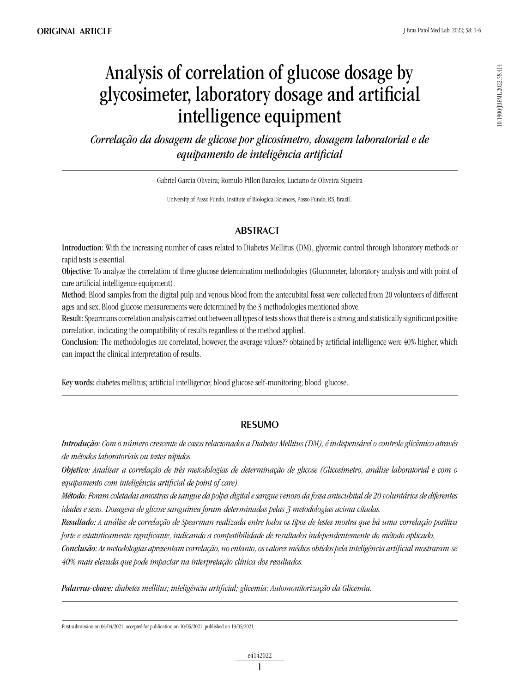# Analysis of correlation of glucose dosage by glycosimeter, laboratory dosage and artificial intelligence equipment

*Correlação da dosagem de glicose por glicosímetro, dosagem laboratorial e de equipamento de inteligência artificial*

Gabriel Garcia Oliveira; Romulo Pillon Barcelos; Luciano de Oliveira Siqueira

University of Passo Fundo, Institute of Biological Sciences, Passo Fundo, RS, Brazil..

# **ABSTRACT**

Introduction: With the increasing number of cases related to Diabetes Mellitus (DM), glycemic control through laboratory methods or rapid tests is essential.

Objective: To analyze the correlation of three glucose determination methodologies (Glucometer, laboratory analysis and with point of care artificial intelligence equipment).

Method: Blood samples from the digital pulp and venous blood from the antecubital fossa were collected from 20 volunteers of different ages and sex. Blood glucose measurements were determined by the 3 methodologies mentioned above.

Result: Spearmans correlation analysis carried out between all types of tests shows that there is a strong and statistically significant positive correlation, indicating the compatibility of results regardless of the method applied.

Conclusion: The methodologies are correlated, however, the average values?? obtained by artificial intelligence were 40% higher, which can impact the clinical interpretation of results.

Key words: diabetes mellitus; artificial intelligence; blood glucose self-monitoring; blood glucose..

## resumo

*Introdução: Com o número crescente de casos relacionados a Diabetes Mellitus (DM), é indispensável o controle glicêmico através de métodos laboratoriais ou testes rápidos.* 

*Objetivo: Analisar a correlação de três metodologias de determinação de glicose (Glicosímetro, análise laboratorial e com o equipamento com inteligência artificial de point of care).*

*Método: Foram coletadas amostras de sangue da polpa digital e sangue venoso da fossa antecubital de 20 voluntários de diferentes idades e sexo. Dosagens de glicose sanguínea foram determinadas pelas 3 metodologias acima citadas.*

*Resultado: A análise de correlação de Spearman realizada entre todos os tipos de testes mostra que há uma correlação positiva forte e estatisticamente significante, indicando a compatibilidade de resultados independentemente do método aplicado.*

*Conclusão: As metodologias apresentam correlação, no entanto, os valores médios obtidos pela inteligência artificial mostraram-se 40% mais elevada que pode impactar na interpretação clínica dos resultados.*

*Palavras-chave: diabetes mellitus; inteligência artificial; glicemia; Automonitorização da Glicemia.*

First submission on 04/04/2021; accepted for publication on 10/05/2021; published on 19/05/2021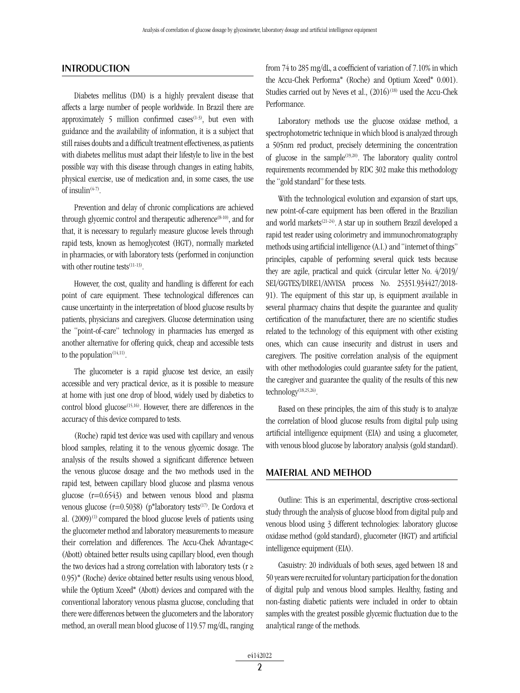## **INTRODUCTION**

Diabetes mellitus (DM) is a highly prevalent disease that affects a large number of people worldwide. In Brazil there are approximately 5 million confirmed cases<sup> $(1-3)$ </sup>, but even with guidance and the availability of information, it is a subject that still raises doubts and a difficult treatment effectiveness, as patients with diabetes mellitus must adapt their lifestyle to live in the best possible way with this disease through changes in eating habits, physical exercise, use of medication and, in some cases, the use of insulin $(4-7)$ .

Prevention and delay of chronic complications are achieved through glycemic control and therapeutic adherence<sup> $(8-10)$ </sup>, and for that, it is necessary to regularly measure glucose levels through rapid tests, known as hemoglycotest (HGT), normally marketed in pharmacies, or with laboratory tests (performed in conjunction with other routine tests $(11-13)$ .

However, the cost, quality and handling is different for each point of care equipment. These technological differences can cause uncertainty in the interpretation of blood glucose results by patients, physicians and caregivers. Glucose determination using the "point-of-care" technology in pharmacies has emerged as another alternative for offering quick, cheap and accessible tests to the population $(14,11)$ .

The glucometer is a rapid glucose test device, an easily accessible and very practical device, as it is possible to measure at home with just one drop of blood, widely used by diabetics to control blood glucose<sup>(15,16)</sup>. However, there are differences in the accuracy of this device compared to tests.

(Roche) rapid test device was used with capillary and venous blood samples, relating it to the venous glycemic dosage. The analysis of the results showed a significant difference between the venous glucose dosage and the two methods used in the rapid test, between capillary blood glucose and plasma venous glucose (r=0.6543) and between venous blood and plasma venous glucose ( $r=0.5038$ ) (p®laboratory tests<sup>(17)</sup>. De Cordova et al.  $(2009)^{(1)}$  compared the blood glucose levels of patients using the glucometer method and laboratory measurements to measure their correlation and differences. The Accu-Chek Advantage< (Abott) obtained better results using capillary blood, even though the two devices had a strong correlation with laboratory tests ( $r \ge$ 0.95)® (Roche) device obtained better results using venous blood, while the Optium Xceed® (Abott) devices and compared with the conventional laboratory venous plasma glucose, concluding that there were differences between the glucometers and the laboratory method, an overall mean blood glucose of 119.57 mg/dL, ranging from 74 to 285 mg/dL, a coefficient of variation of 7.10% in which the Accu-Chek Performa® (Roche) and Optium Xceed® 0.001). Studies carried out by Neves et al.,  $(2016)^{(18)}$  used the Accu-Chek Performance.

Laboratory methods use the glucose oxidase method, a spectrophotometric technique in which blood is analyzed through a 505nm red product, precisely determining the concentration of glucose in the sample<sup> $(19,20)$ </sup>. The laboratory quality control requirements recommended by RDC 302 make this methodology the "gold standard" for these tests.

With the technological evolution and expansion of start ups, new point-of-care equipment has been offered in the Brazilian and world markets(21-24). A star up in southern Brazil developed a rapid test reader using colorimetry and immunochromatography methods using artificial intelligence (A.I.) and "internet of things" principles, capable of performing several quick tests because they are agile, practical and quick (circular letter No. 4/2019/ SEI/GGTES/DIRE1/ANVISA process No. 25351.934427/2018- 91). The equipment of this star up, is equipment available in several pharmacy chains that despite the guarantee and quality certification of the manufacturer, there are no scientific studies related to the technology of this equipment with other existing ones, which can cause insecurity and distrust in users and caregivers. The positive correlation analysis of the equipment with other methodologies could guarantee safety for the patient, the caregiver and guarantee the quality of the results of this new technology<sup>(18,25,26)</sup>.

Based on these principles, the aim of this study is to analyze the correlation of blood glucose results from digital pulp using artificial intelligence equipment (EIA) and using a glucometer, with venous blood glucose by laboratory analysis (gold standard).

#### MATERIAL AND METHOD

Outline: This is an experimental, descriptive cross-sectional study through the analysis of glucose blood from digital pulp and venous blood using 3 different technologies: laboratory glucose oxidase method (gold standard), glucometer (HGT) and artificial intelligence equipment (EIA).

Casuistry: 20 individuals of both sexes, aged between 18 and 50 years were recruited for voluntary participation for the donation of digital pulp and venous blood samples. Healthy, fasting and non-fasting diabetic patients were included in order to obtain samples with the greatest possible glycemic fluctuation due to the analytical range of the methods.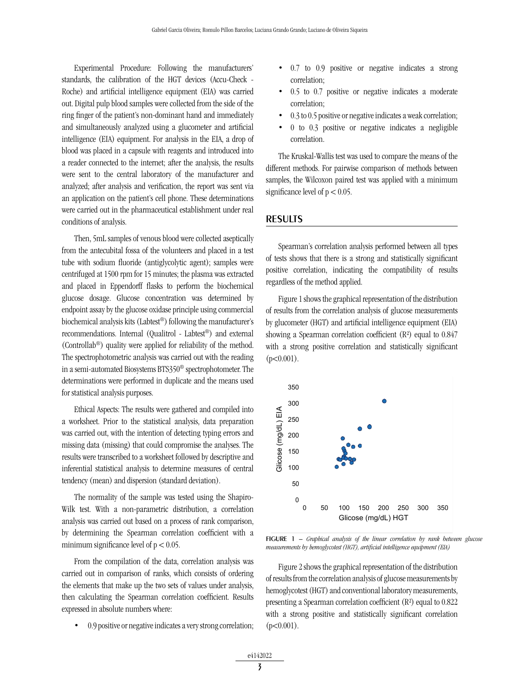Experimental Procedure: Following the manufacturers' standards, the calibration of the HGT devices (Accu-Check - Roche) and artificial intelligence equipment (EIA) was carried out. Digital pulp blood samples were collected from the side of the ring finger of the patient's non-dominant hand and immediately and simultaneously analyzed using a glucometer and artificial intelligence (EIA) equipment. For analysis in the EIA, a drop of blood was placed in a capsule with reagents and introduced into a reader connected to the internet; after the analysis, the results were sent to the central laboratory of the manufacturer and analyzed; after analysis and verification, the report was sent via an application on the patient's cell phone. These determinations were carried out in the pharmaceutical establishment under real conditions of analysis.

Then, 5mL samples of venous blood were collected aseptically from the antecubital fossa of the volunteers and placed in a test tube with sodium fluoride (antiglycolytic agent); samples were centrifuged at 1500 rpm for 15 minutes; the plasma was extracted and placed in Eppendorff flasks to perform the biochemical glucose dosage. Glucose concentration was determined by endpoint assay by the glucose oxidase principle using commercial biochemical analysis kits (Labtest®) following the manufacturer's recommendations. Internal (Qualitrol - Labtest®) and external (Controllab®) quality were applied for reliability of the method. The spectrophotometric analysis was carried out with the reading in a semi-automated Biosystems BTS350® spectrophotometer. The determinations were performed in duplicate and the means used for statistical analysis purposes.

Ethical Aspects: The results were gathered and compiled into a worksheet. Prior to the statistical analysis, data preparation was carried out, with the intention of detecting typing errors and missing data (missing) that could compromise the analyses. The results were transcribed to a worksheet followed by descriptive and inferential statistical analysis to determine measures of central tendency (mean) and dispersion (standard deviation).

The normality of the sample was tested using the Shapiro-Wilk test. With a non-parametric distribution, a correlation analysis was carried out based on a process of rank comparison, by determining the Spearman correlation coefficient with a minimum significance level of  $p < 0.05$ .

From the compilation of the data, correlation analysis was carried out in comparison of ranks, which consists of ordering the elements that make up the two sets of values under analysis, then calculating the Spearman correlation coefficient. Results expressed in absolute numbers where:

0.9 positive or negative indicates a very strong correlation;

- • 0.7 to 0.9 positive or negative indicates a strong correlation;
- $0.5$  to  $0.7$  positive or negative indicates a moderate correlation;
- $0.3$  to  $0.5$  positive or negative indicates a weak correlation;
- $0$  to  $0.3$  positive or negative indicates a negligible correlation.

The Kruskal-Wallis test was used to compare the means of the different methods. For pairwise comparison of methods between samples, the Wilcoxon paired test was applied with a minimum significance level of  $p < 0.05$ .

#### RESULTS

Spearman's correlation analysis performed between all types of tests shows that there is a strong and statistically significant positive correlation, indicating the compatibility of results regardless of the method applied.

Figure 1 shows the graphical representation of the distribution of results from the correlation analysis of glucose measurements by glucometer (HGT) and artificial intelligence equipment (EIA) showing a Spearman correlation coefficient (R²) equal to 0.847 with a strong positive correlation and statistically significant  $(p<0.001)$ .



figure 1 – *Graphical analysis of the linear correlation by rank between glucose measurements by hemoglycotest (HGT), artificial intelligence equipment (EIA)*

Figure 2 shows the graphical representation of the distribution of results from the correlation analysis of glucose measurements by hemoglycotest (HGT) and conventional laboratory measurements, presenting a Spearman correlation coefficient (R²) equal to 0.822 with a strong positive and statistically significant correlation  $(p<0.001)$ .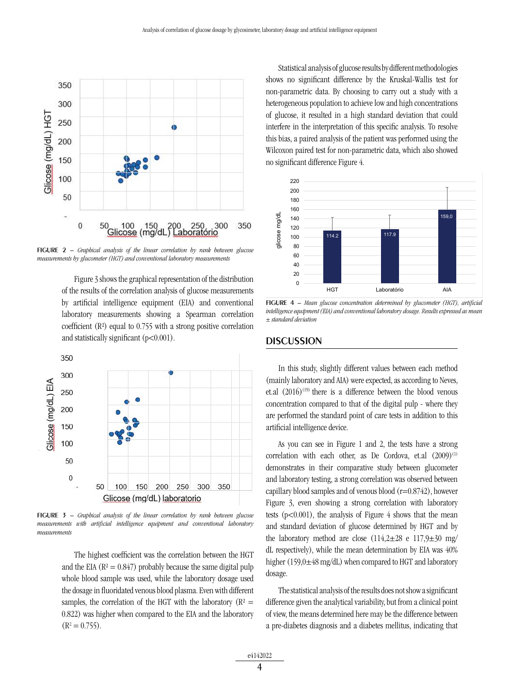

figure 2 – *Graphical analysis of the linear correlation by rank between glucose measurements by glucometer (HGT) and conventional laboratory measurements*

Figure 3 shows the graphical representation of the distribution of the results of the correlation analysis of glucose measurements by artificial intelligence equipment (EIA) and conventional laboratory measurements showing a Spearman correlation coefficient (R²) equal to 0.755 with a strong positive correlation and statistically significant (p<0.001).



figure 3 – *Graphical analysis of the linear correlation by rank between glucose measurements with artificial intelligence equipment and conventional laboratory measurements*

The highest coefficient was the correlation between the HGT and the EIA ( $R^2 = 0.847$ ) probably because the same digital pulp whole blood sample was used, while the laboratory dosage used the dosage in fluoridated venous blood plasma. Even with different samples, the correlation of the HGT with the laboratory ( $R^2$  = 0.822) was higher when compared to the EIA and the laboratory  $(R<sup>2</sup> = 0.755).$ 

Statistical analysis of glucose results by different methodologies shows no significant difference by the Kruskal-Wallis test for non-parametric data. By choosing to carry out a study with a heterogeneous population to achieve low and high concentrations of glucose, it resulted in a high standard deviation that could interfere in the interpretation of this specific analysis. To resolve this bias, a paired analysis of the patient was performed using the Wilcoxon paired test for non-parametric data, which also showed no significant difference Figure 4.



figure 4 – *Mean glucose concentration determined by glucometer (HGT), artificial intelligence equipment (EIA) and conventional laboratory dosage. Results expressed as mean ± standard deviation*

## **DISCUSSION**

In this study, slightly different values between each method (mainly laboratory and AIA) were expected, as according to Neves, et.al  $(2016)^{(19)}$  there is a difference between the blood venous concentration compared to that of the digital pulp - where they are performed the standard point of care tests in addition to this artificial intelligence device.

As you can see in Figure 1 and 2, the tests have a strong correlation with each other, as De Cordova, et.al  $(2009)^{(1)}$ demonstrates in their comparative study between glucometer and laboratory testing, a strong correlation was observed between capillary blood samples and of venous blood (r=0.8742), however Figure 3, even showing a strong correlation with laboratory tests  $(p<0.001)$ , the analysis of Figure 4 shows that the mean and standard deviation of glucose determined by HGT and by the laboratory method are close  $(114,2\pm 28 \text{ e } 117,9\pm 30 \text{ mg}/$ dL respectively), while the mean determination by EIA was 40% higher (159,0 $\pm$ 48 mg/dL) when compared to HGT and laboratory dosage.

The statistical analysis of the results does not show a significant difference given the analytical variability, but from a clinical point of view, the means determined here may be the difference between a pre-diabetes diagnosis and a diabetes mellitus, indicating that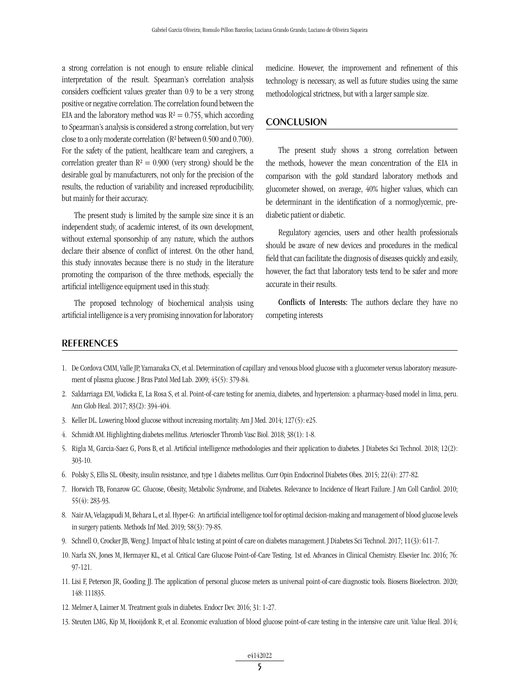a strong correlation is not enough to ensure reliable clinical interpretation of the result. Spearman's correlation analysis considers coefficient values greater than 0.9 to be a very strong positive or negative correlation. The correlation found between the EIA and the laboratory method was  $R^2 = 0.755$ , which according to Spearman's analysis is considered a strong correlation, but very close to a only moderate correlation (R² between 0.500 and 0.700). For the safety of the patient, healthcare team and caregivers, a correlation greater than  $R^2 = 0.900$  (very strong) should be the desirable goal by manufacturers, not only for the precision of the results, the reduction of variability and increased reproducibility, but mainly for their accuracy.

The present study is limited by the sample size since it is an independent study, of academic interest, of its own development, without external sponsorship of any nature, which the authors declare their absence of conflict of interest. On the other hand, this study innovates because there is no study in the literature promoting the comparison of the three methods, especially the artificial intelligence equipment used in this study.

The proposed technology of biochemical analysis using artificial intelligence is a very promising innovation for laboratory medicine. However, the improvement and refinement of this technology is necessary, as well as future studies using the same methodological strictness, but with a larger sample size.

### **CONCLUSION**

The present study shows a strong correlation between the methods, however the mean concentration of the EIA in comparison with the gold standard laboratory methods and glucometer showed, on average, 40% higher values, which can be determinant in the identification of a normoglycemic, prediabetic patient or diabetic.

Regulatory agencies, users and other health professionals should be aware of new devices and procedures in the medical field that can facilitate the diagnosis of diseases quickly and easily, however, the fact that laboratory tests tend to be safer and more accurate in their results.

Conflicts of Interests: The authors declare they have no competing interests

### REFERENCES

- 1. De Cordova CMM, Valle JP, Yamanaka CN, et al. Determination of capillary and venous blood glucose with a glucometer versus laboratory measurement of plasma glucose. J Bras Patol Med Lab. 2009; 45(5): 379-84.
- 2. Saldarriaga EM, Vodicka E, La Rosa S, et al. Point-of-care testing for anemia, diabetes, and hypertension: a pharmacy-based model in lima, peru. Ann Glob Heal. 2017; 83(2): 394-404.
- 3. Keller DL. Lowering blood glucose without increasing mortality. Am J Med. 2014; 127(5): e25.
- 4. Schmidt AM. Highlighting diabetes mellitus. Arterioscler Thromb Vasc Biol. 2018; 38(1): 1-8.
- 5. Rigla M, Garcia-Saez G, Pons B, et al. Artificial intelligence methodologies and their application to diabetes. J Diabetes Sci Technol. 2018; 12(2): 303-10.
- 6. Polsky S, Ellis SL. Obesity, insulin resistance, and type 1 diabetes mellitus. Curr Opin Endocrinol Diabetes Obes. 2015; 22(4): 277-82.
- 7. Horwich TB, Fonarow GC. Glucose, Obesity, Metabolic Syndrome, and Diabetes. Relevance to Incidence of Heart Failure. J Am Coll Cardiol. 2010; 55(4): 283-93.
- 8. Nair AA, Velagapudi M, Behara L, et al. Hyper-G: An artificial intelligence tool for optimal decision-making and management of blood glucose levels in surgery patients. Methods Inf Med. 2019; 58(3): 79-85.
- 9. Schnell O, Crocker JB, Weng J. Impact of hba1c testing at point of care on diabetes management. J Diabetes Sci Technol. 2017; 11(3): 611-7.
- 10. Narla SN, Jones M, Hermayer KL, et al. Critical Care Glucose Point-of-Care Testing. 1st ed. Advances in Clinical Chemistry. Elsevier Inc. 2016; 76: 97-121.
- 11. Lisi F, Peterson JR, Gooding JJ. The application of personal glucose meters as universal point-of-care diagnostic tools. Biosens Bioelectron. 2020; 148: 111835.
- 12. Melmer A, Laimer M. Treatment goals in diabetes. Endocr Dev. 2016; 31: 1-27.
- 13. Steuten LMG, Kip M, Hooijdonk R, et al. Economic evaluation of blood glucose point-of-care testing in the intensive care unit. Value Heal. 2014;